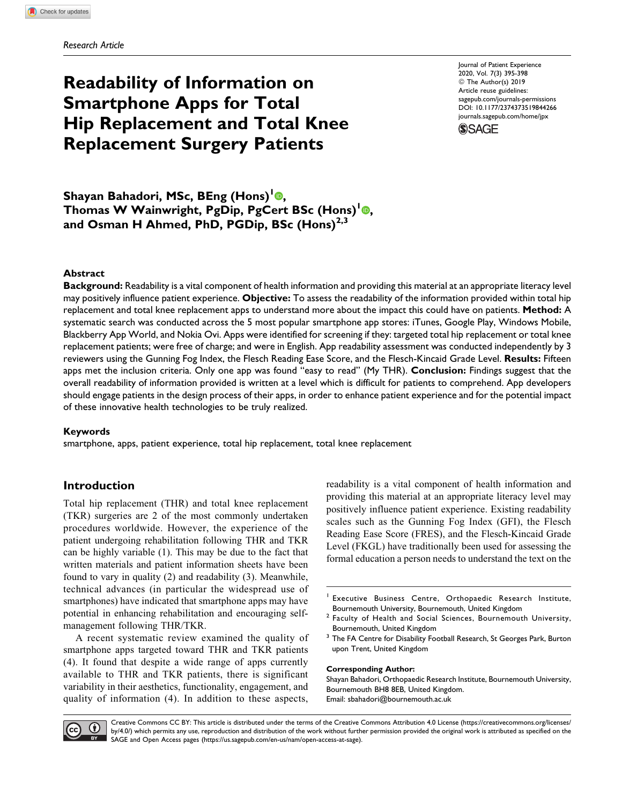# Readability of Information on Smartphone Apps for Total Hip Replacement and Total Knee Replacement Surgery Patients

Journal of Patient Experience 2020, Vol. 7(3) 395-398 © The Author(s) 2019 Article reuse guidelines: [sagepub.com/journals-permissions](https://sagepub.com/journals-permissions) [DOI: 10.1177/2374373519844266](https://doi.org/10.1177/2374373519844266) [journals.sagepub.com/home/jpx](http://journals.sagepub.com/home/jpx) **SSAGE** 

Shayan Bahadori[,](https://orcid.org/0000-0003-0201-9840) MSc, BEng (Hons)<sup>1</sup><sup>0</sup>, Thomas W Wainwright, PgDip, PgCert BSc (Hons)<sup>1</sup><sup>®</sup>, and Osman H Ahmed, PhD, PGDip, BSc  $(Hons)^{2,3}$ 

#### Abstract

Background: Readability is a vital component of health information and providing this material at an appropriate literacy level may positively influence patient experience. Objective: To assess the readability of the information provided within total hip replacement and total knee replacement apps to understand more about the impact this could have on patients. Method: A systematic search was conducted across the 5 most popular smartphone app stores: iTunes, Google Play, Windows Mobile, Blackberry App World, and Nokia Ovi. Apps were identified for screening if they: targeted total hip replacement or total knee replacement patients; were free of charge; and were in English. App readability assessment was conducted independently by 3 reviewers using the Gunning Fog Index, the Flesch Reading Ease Score, and the Flesch-Kincaid Grade Level. Results: Fifteen apps met the inclusion criteria. Only one app was found "easy to read" (My THR). Conclusion: Findings suggest that the overall readability of information provided is written at a level which is difficult for patients to comprehend. App developers should engage patients in the design process of their apps, in order to enhance patient experience and for the potential impact of these innovative health technologies to be truly realized.

#### Keywords

smartphone, apps, patient experience, total hip replacement, total knee replacement

#### Introduction

Total hip replacement (THR) and total knee replacement (TKR) surgeries are 2 of the most commonly undertaken procedures worldwide. However, the experience of the patient undergoing rehabilitation following THR and TKR can be highly variable (1). This may be due to the fact that written materials and patient information sheets have been found to vary in quality (2) and readability (3). Meanwhile, technical advances (in particular the widespread use of smartphones) have indicated that smartphone apps may have potential in enhancing rehabilitation and encouraging selfmanagement following THR/TKR.

A recent systematic review examined the quality of smartphone apps targeted toward THR and TKR patients (4). It found that despite a wide range of apps currently available to THR and TKR patients, there is significant variability in their aesthetics, functionality, engagement, and quality of information (4). In addition to these aspects,

readability is a vital component of health information and providing this material at an appropriate literacy level may positively influence patient experience. Existing readability scales such as the Gunning Fog Index (GFI), the Flesch Reading Ease Score (FRES), and the Flesch-Kincaid Grade Level (FKGL) have traditionally been used for assessing the formal education a person needs to understand the text on the

- <sup>2</sup> Faculty of Health and Social Sciences, Bournemouth University, Bournemouth, United Kingdom
- <sup>3</sup> The FA Centre for Disability Football Research, St Georges Park, Burton upon Trent, United Kingdom

#### Corresponding Author:

Shayan Bahadori, Orthopaedic Research Institute, Bournemouth University, Bournemouth BH8 8EB, United Kingdom. Email: [sbahadori@bournemouth.ac.uk](mailto:sbahadori@bournemouth.ac.uk)



Creative Commons CC BY: This article is distributed under the terms of the Creative Commons Attribution 4.0 License ([https://creativecommons.org/licenses/](http://www.creativecommons.org/licenses/by/4.0/) [by/4.0/](http://www.creativecommons.org/licenses/by/4.0/)) which permits any use, reproduction and distribution of the work without further permission provided the original work is attributed as specified on the BY SAGE and Open Access pages (<https://us.sagepub.com/en-us/nam/open-access-at-sage>).

<sup>&</sup>lt;sup>1</sup> Executive Business Centre, Orthopaedic Research Institute, Bournemouth University, Bournemouth, United Kingdom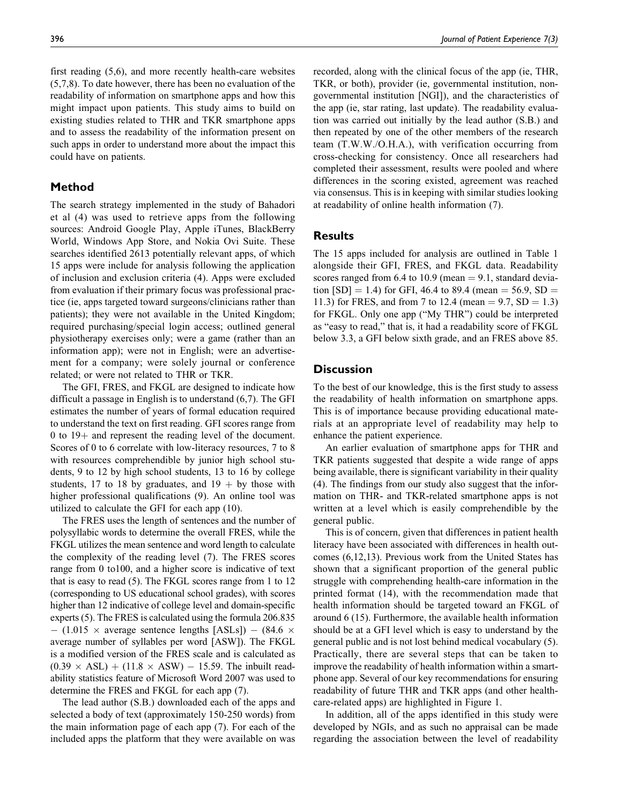first reading (5,6), and more recently health-care websites (5,7,8). To date however, there has been no evaluation of the readability of information on smartphone apps and how this might impact upon patients. This study aims to build on existing studies related to THR and TKR smartphone apps and to assess the readability of the information present on such apps in order to understand more about the impact this could have on patients.

# Method

The search strategy implemented in the study of Bahadori et al (4) was used to retrieve apps from the following sources: Android Google Play, Apple iTunes, BlackBerry World, Windows App Store, and Nokia Ovi Suite. These searches identified 2613 potentially relevant apps, of which 15 apps were include for analysis following the application of inclusion and exclusion criteria (4). Apps were excluded from evaluation if their primary focus was professional practice (ie, apps targeted toward surgeons/clinicians rather than patients); they were not available in the United Kingdom; required purchasing/special login access; outlined general physiotherapy exercises only; were a game (rather than an information app); were not in English; were an advertisement for a company; were solely journal or conference related; or were not related to THR or TKR.

The GFI, FRES, and FKGL are designed to indicate how difficult a passage in English is to understand (6,7). The GFI estimates the number of years of formal education required to understand the text on first reading. GFI scores range from 0 to  $19+$  and represent the reading level of the document. Scores of 0 to 6 correlate with low-literacy resources, 7 to 8 with resources comprehendible by junior high school students, 9 to 12 by high school students, 13 to 16 by college students, 17 to 18 by graduates, and  $19 +$  by those with higher professional qualifications (9). An online tool was utilized to calculate the GFI for each app (10).

The FRES uses the length of sentences and the number of polysyllabic words to determine the overall FRES, while the FKGL utilizes the mean sentence and word length to calculate the complexity of the reading level (7). The FRES scores range from 0 to100, and a higher score is indicative of text that is easy to read (5). The FKGL scores range from 1 to 12 (corresponding to US educational school grades), with scores higher than 12 indicative of college level and domain-specific experts (5). The FRES is calculated using the formula 206.835  $-$  (1.015  $\times$  average sentence lengths [ASLs])  $-$  (84.6  $\times$ average number of syllables per word [ASW]). The FKGL is a modified version of the FRES scale and is calculated as  $(0.39 \times ASL) + (11.8 \times ASW) - 15.59$ . The inbuilt readability statistics feature of Microsoft Word 2007 was used to determine the FRES and FKGL for each app (7).

The lead author (S.B.) downloaded each of the apps and selected a body of text (approximately 150-250 words) from the main information page of each app (7). For each of the included apps the platform that they were available on was recorded, along with the clinical focus of the app (ie, THR, TKR, or both), provider (ie, governmental institution, nongovernmental institution [NGI]), and the characteristics of the app (ie, star rating, last update). The readability evaluation was carried out initially by the lead author (S.B.) and then repeated by one of the other members of the research team (T.W.W./O.H.A.), with verification occurring from cross-checking for consistency. Once all researchers had completed their assessment, results were pooled and where differences in the scoring existed, agreement was reached via consensus. This is in keeping with similar studies looking at readability of online health information (7).

# **Results**

The 15 apps included for analysis are outlined in Table 1 alongside their GFI, FRES, and FKGL data. Readability scores ranged from 6.4 to 10.9 (mean  $= 9.1$ , standard deviation  $[SD] = 1.4$ ) for GFI, 46.4 to 89.4 (mean = 56.9, SD = 11.3) for FRES, and from 7 to 12.4 (mean  $= 9.7$ , SD  $= 1.3$ ) for FKGL. Only one app ("My THR") could be interpreted as "easy to read," that is, it had a readability score of FKGL below 3.3, a GFI below sixth grade, and an FRES above 85.

# **Discussion**

To the best of our knowledge, this is the first study to assess the readability of health information on smartphone apps. This is of importance because providing educational materials at an appropriate level of readability may help to enhance the patient experience.

An earlier evaluation of smartphone apps for THR and TKR patients suggested that despite a wide range of apps being available, there is significant variability in their quality (4). The findings from our study also suggest that the information on THR- and TKR-related smartphone apps is not written at a level which is easily comprehendible by the general public.

This is of concern, given that differences in patient health literacy have been associated with differences in health outcomes (6,12,13). Previous work from the United States has shown that a significant proportion of the general public struggle with comprehending health-care information in the printed format (14), with the recommendation made that health information should be targeted toward an FKGL of around 6 (15). Furthermore, the available health information should be at a GFI level which is easy to understand by the general public and is not lost behind medical vocabulary (5). Practically, there are several steps that can be taken to improve the readability of health information within a smartphone app. Several of our key recommendations for ensuring readability of future THR and TKR apps (and other healthcare-related apps) are highlighted in Figure 1.

In addition, all of the apps identified in this study were developed by NGIs, and as such no appraisal can be made regarding the association between the level of readability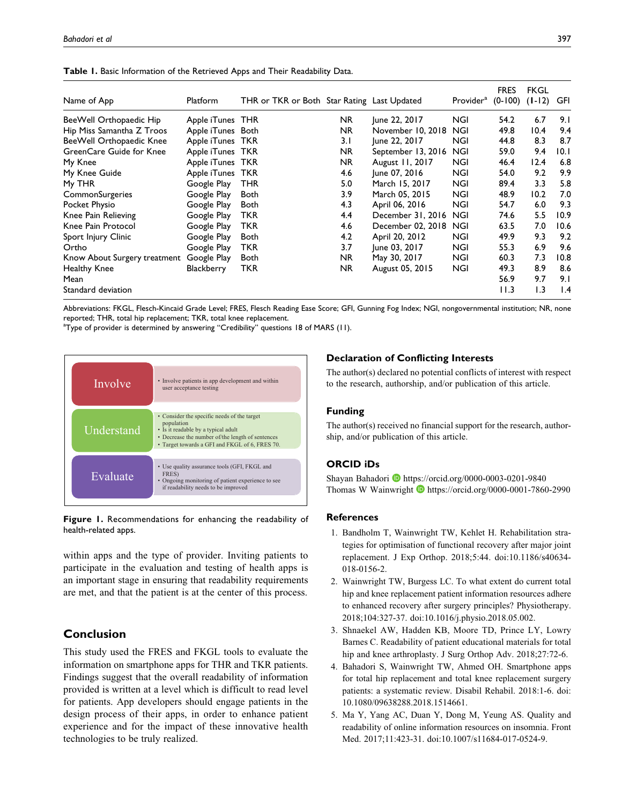| Name of App                  | Platform          | THR or TKR or Both Star Rating Last Updated |     |                    | Provider <sup>a</sup> | <b>FRES</b><br>$(0-100)$ | FKGL<br>$(I - 12)$ | GFI  |
|------------------------------|-------------------|---------------------------------------------|-----|--------------------|-----------------------|--------------------------|--------------------|------|
| BeeWell Orthopaedic Hip      | Apple iTunes THR  |                                             | NR. | June 22, 2017      | NGI                   | 54.2                     | 6.7                | 9.1  |
| Hip Miss Samantha Z Troos    | Apple iTunes Both |                                             | NR. | November 10, 2018  | <b>NGI</b>            | 49.8                     | 10.4               | 9.4  |
| BeeWell Orthopaedic Knee     | Apple iTunes TKR  |                                             | 3.1 | June 22, 2017      | NGI                   | 44.8                     | 8.3                | 8.7  |
| GreenCare Guide for Knee     | Apple iTunes TKR  |                                             | NR. | September 13, 2016 | <b>NGI</b>            | 59.0                     | 9.4                | 10.1 |
| My Knee                      | Apple iTunes TKR  |                                             | NR. | August 11, 2017    | <b>NGI</b>            | 46.4                     | 12.4               | 6.8  |
| My Knee Guide                | Apple iTunes TKR  |                                             | 4.6 | June 07, 2016      | <b>NGI</b>            | 54.0                     | 9.2                | 9.9  |
| My THR                       | Google Play       | THR                                         | 5.0 | March 15, 2017     | <b>NGI</b>            | 89.4                     | 3.3                | 5.8  |
| CommonSurgeries              | Google Play       | <b>Both</b>                                 | 3.9 | March 05, 2015     | NGI                   | 48.9                     | 10.2               | 7.0  |
| Pocket Physio                | Google Play       | <b>Both</b>                                 | 4.3 | April 06, 2016     | NGI                   | 54.7                     | 6.0                | 9.3  |
| Knee Pain Relieving          | Google Play       | TKR                                         | 4.4 | December 31, 2016  | <b>NGI</b>            | 74.6                     | 5.5                | 10.9 |
| Knee Pain Protocol           | Google Play       | TKR                                         | 4.6 | December 02, 2018  | <b>NGI</b>            | 63.5                     | 7.0                | 10.6 |
| Sport Injury Clinic          | Google Play       | <b>Both</b>                                 | 4.2 | April 20, 2012     | NGI                   | 49.9                     | 9.3                | 9.2  |
| Ortho                        | Google Play       | TKR                                         | 3.7 | June 03, 2017      | NGI                   | 55.3                     | 6.9                | 9.6  |
| Know About Surgery treatment | Google Play       | <b>Both</b>                                 | NR. | May 30, 2017       | NGI                   | 60.3                     | 7.3                | 10.8 |
| Healthy Knee                 | Blackberry        | TKR                                         | NR. | August 05, 2015    | NGI                   | 49.3                     | 8.9                | 8.6  |
| Mean                         |                   |                                             |     |                    |                       | 56.9                     | 9.7                | 9.1  |
| Standard deviation           |                   |                                             |     |                    |                       | 11.3                     | 1.3                | 1.4  |

Table 1. Basic Information of the Retrieved Apps and Their Readability Data.

Abbreviations: FKGL, Flesch-Kincaid Grade Level; FRES, Flesch Reading Ease Score; GFI, Gunning Fog Index; NGI, nongovernmental institution; NR, none reported; THR, total hip replacement; TKR, total knee replacement.

<sup>a</sup>Type of provider is determined by answering "Credibility" questions 18 of MARS (11).



Figure 1. Recommendations for enhancing the readability of health-related apps.

within apps and the type of provider. Inviting patients to participate in the evaluation and testing of health apps is an important stage in ensuring that readability requirements are met, and that the patient is at the center of this process.

# Conclusion

This study used the FRES and FKGL tools to evaluate the information on smartphone apps for THR and TKR patients. Findings suggest that the overall readability of information provided is written at a level which is difficult to read level for patients. App developers should engage patients in the design process of their apps, in order to enhance patient experience and for the impact of these innovative health technologies to be truly realized.

#### Declaration of Conflicting Interests

The author(s) declared no potential conflicts of interest with respect to the research, authorship, and/or publication of this article.

#### Funding

The author(s) received no financial support for the research, authorship, and/or publication of this article.

#### ORCID iDs

Shayan Bahadori **I** <https://orcid.org/0000-0003-0201-9840> Thomas W Wainwright  $\bullet$  <https://orcid.org/0000-0001-7860-2990>

# **References**

- 1. Bandholm T, Wainwright TW, Kehlet H. Rehabilitation strategies for optimisation of functional recovery after major joint replacement. J Exp Orthop. 2018;5:44. doi:10.1186/s40634- 018-0156-2.
- 2. Wainwright TW, Burgess LC. To what extent do current total hip and knee replacement patient information resources adhere to enhanced recovery after surgery principles? Physiotherapy. 2018;104:327-37. doi:10.1016/j.physio.2018.05.002.
- 3. Shnaekel AW, Hadden KB, Moore TD, Prince LY, Lowry Barnes C. Readability of patient educational materials for total hip and knee arthroplasty. J Surg Orthop Adv. 2018;27:72-6.
- 4. Bahadori S, Wainwright TW, Ahmed OH. Smartphone apps for total hip replacement and total knee replacement surgery patients: a systematic review. Disabil Rehabil. 2018:1-6. doi: 10.1080/09638288.2018.1514661.
- 5. Ma Y, Yang AC, Duan Y, Dong M, Yeung AS. Quality and readability of online information resources on insomnia. Front Med. 2017;11:423-31. doi:10.1007/s11684-017-0524-9.